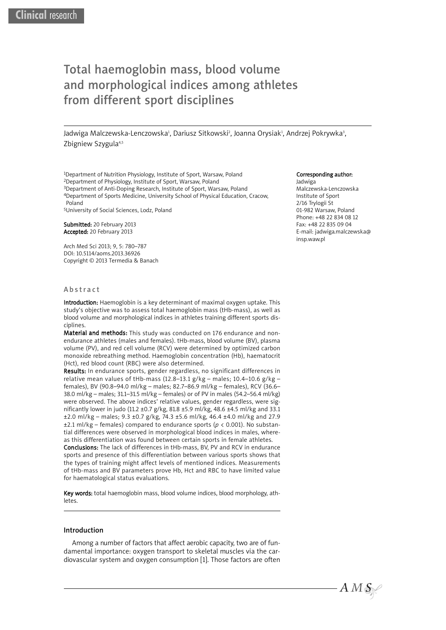# Total haemoglobin mass, blood volume and morphological indices among athletes from different sport disciplines

Jadwiga Malczewska-Lenczowska<sup>ı</sup>, Dariusz Sitkowski<sup>2</sup>, Joanna Orysiak<sup>ı</sup>, Andrzej Pokrywka<sup>3</sup>, Zbigniew Szygula<sup>4,5</sup>

1Department of Nutrition Physiology, Institute of Sport, Warsaw, Poland 2Department of Physiology, Institute of Sport, Warsaw, Poland 3Department of Anti-Doping Research, Institute of Sport, Warsaw, Poland 4Department of Sports Medicine, University School of Physical Education, Cracow, Poland

5University of Social Sciences, Lodz, Poland

Submitted: 20 February 2013 Accepted: 20 February 2013

Arch Med Sci 2013; 9, 5: 780–787 DOI: 10.5114/aoms.2013.36926 Copyright © 2013 Termedia & Banach

#### **Abstract**

Introduction: Haemoglobin is a key determinant of maximal oxygen uptake. This study's objective was to assess total haemoglobin mass (tHb-mass), as well as blood volume and morphological indices in athletes training different sports disciplines.

Material and methods: This study was conducted on 176 endurance and nonendurance athletes (males and females). tHb-mass, blood volume (BV), plasma volume (PV), and red cell volume (RCV) were determined by optimized carbon monoxide rebreathing method. Haemoglobin concentration (Hb), haematocrit (Hct), red blood count (RBC) were also determined.

Results: In endurance sports, gender regardless, no significant differences in relative mean values of tHb-mass (12.8–13.1 g/kg – males; 10.4–10.6 g/kg – females), BV (90.8–94.0 ml/kg – males; 82.7–86.9 ml/kg – females), RCV (36.6– 38.0 ml/kg – males; 31.1–31.5 ml/kg – females) or of PV in males (54.2–56.4 ml/kg) were observed. The above indices' relative values, gender regardless, were significantly lower in judo (11.2 ±0.7 g/kg, 81.8 ±5.9 ml/kg, 48.6 ±4.5 ml/kg and 33.1 ±2.0 ml/kg – males; 9.3 ±0.7 g/kg, 74.3 ±5.6 ml/kg, 46.4 ±4.0 ml/kg and 27.9 ±2.1 ml/kg – females) compared to endurance sports (*p* < 0.001). No substantial differences were observed in morphological blood indices in males, whereas this differentiation was found between certain sports in female athletes.

Conclusions: The lack of differences in tHb-mass, BV, PV and RCV in endurance sports and presence of this differentiation between various sports shows that the types of training might affect levels of mentioned indices. Measurements of tHb-mass and BV parameters prove Hb, Hct and RBC to have limited value for haematological status evaluations.

Key words: total haemoglobin mass, blood volume indices, blood morphology, athletes.

#### Introduction

Among a number of factors that affect aerobic capacity, two are of fundamental importance: oxygen transport to skeletal muscles via the cardiovascular system and oxygen consumption [1]. Those factors are often

#### Corresponding author:

Jadwiga Malczewska-Lenczowska Institute of Sport 2/16 Trylogii St 01-982 Warsaw, Poland Phone: +48 22 834 08 12 Fax: +48 22 835 09 04 E-mail: jadwiga.malczewska@ insp.waw.pl

 $AMS_{\chi}$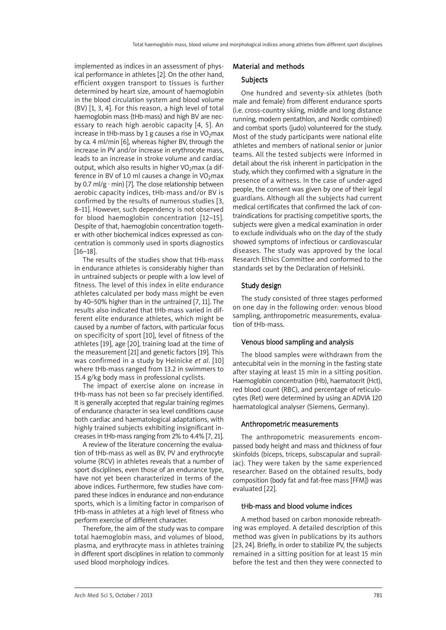implemented as indices in an assessment of physical performance in athletes [2]. On the other hand, efficient oxygen transport to tissues is further determined by heart size, amount of haemoglobin in the blood circulation system and blood volume (BV) [1, 3, 4]. For this reason, a high level of total haemoglobin mass (tHb-mass) and high BV are necessary to reach high aerobic capacity [4, 5]. An increase in tHb-mass by 1 g causes a rise in  $VO<sub>2</sub>$ max by ca. 4 ml/min [6], whereas higher BV, through the increase in PV and/or increase in erythrocyte mass, leads to an increase in stroke volume and cardiac output, which also results in higher  $VO<sub>2</sub>$ max (a difference in BV of 1.0 ml causes a change in  $VO<sub>2</sub>$ max by 0.7 ml/g  $\cdot$  min) [7]. The close relationship between aerobic capacity indices, tHb-mass and/or BV is confirmed by the results of numerous studies [3, 8–11]. However, such dependency is not observed for blood haemoglobin concentration [12–15]. Despite of that, haemoglobin concentration together with other biochemical indices expressed as concentration is commonly used in sports diagnostics [16–18].

The results of the studies show that tHb-mass in endurance athletes is considerably higher than in untrained subjects or people with a low level of fitness. The level of this index in elite endurance athletes calculated per body mass might be even by 40–50% higher than in the untrained [7, 11]. The results also indicated that tHb-mass varied in different elite endurance athletes, which might be caused by a number of factors, with particular focus on specificity of sport [10], level of fitness of the athletes [19], age [20], training load at the time of the measurement [21] and genetic factors [19]. This was confirmed in a study by Heinicke *et al*. [10] where tHb-mass ranged from 13.2 in swimmers to 15.4 g/kg body mass in professional cyclists.

The impact of exercise alone on increase in tHb-mass has not been so far precisely identified. It is generally accepted that regular training regimes of endurance character in sea level conditions cause both cardiac and haematological adaptations, with highly trained subjects exhibiting insignificant increases in tHb-mass ranging from 2% to 4.4% [7, 21].

A review of the literature concerning the evaluation of tHb-mass as well as BV, PV and erythrocyte volume (RCV) in athletes reveals that a number of sport disciplines, even those of an endurance type, have not yet been characterized in terms of the above indices. Furthermore, few studies have compared these indices in endurance and non-endurance sports, which is a limiting factor in comparison of tHb-mass in athletes at a high level of fitness who perform exercise of different character.

Therefore, the aim of the study was to compare total haemoglobin mass, and volumes of blood, plasma, and erythrocyte mass in athletes training in different sport disciplines in relation to commonly used blood morphology indices.

#### Material and methods

## **Subjects**

One hundred and seventy-six athletes (both male and female) from different endurance sports (i.e. cross-country skiing, middle and long distance running, modern pentathlon, and Nordic combined) and combat sports (judo) volunteered for the study. Most of the study participants were national elite athletes and members of national senior or junior teams. All the tested subjects were informed in detail about the risk inherent in participation in the study, which they confirmed with a signature in the presence of a witness. In the case of under-aged people, the consent was given by one of their legal guardians. Although all the subjects had current medical certificates that confirmed the lack of contraindications for practising competitive sports, the subjects were given a medical examination in order to exclude individuals who on the day of the study showed symptoms of infectious or cardiovascular diseases. The study was approved by the local Research Ethics Committee and conformed to the standards set by the Declaration of Helsinki.

## Study design

The study consisted of three stages performed on one day in the following order: venous blood sampling, anthropometric measurements, evaluation of tHb-mass.

## Venous blood sampling and analysis

The blood samples were withdrawn from the antecubital vein in the morning in the fasting state after staying at least 15 min in a sitting position. Haemoglobin concentration (Hb), haematocrit (Hct), red blood count (RBC), and percentage of reticulocytes (Ret) were determined by using an ADVIA 120 haematological analyser (Siemens, Germany).

#### Anthropometric measurements

The anthropometric measurements encompassed body height and mass and thickness of four skinfolds (biceps, triceps, subscapular and suprailiac). They were taken by the same experienced researcher. Based on the obtained results, body composition (body fat and fat-free mass [FFM]) was evaluated [22].

## tHb-mass and blood volume indices

A method based on carbon monoxide rebreathing was employed. A detailed description of this method was given in publications by its authors [23, 24]. Briefly, in order to stabilize PV, the subjects remained in a sitting position for at least 15 min before the test and then they were connected to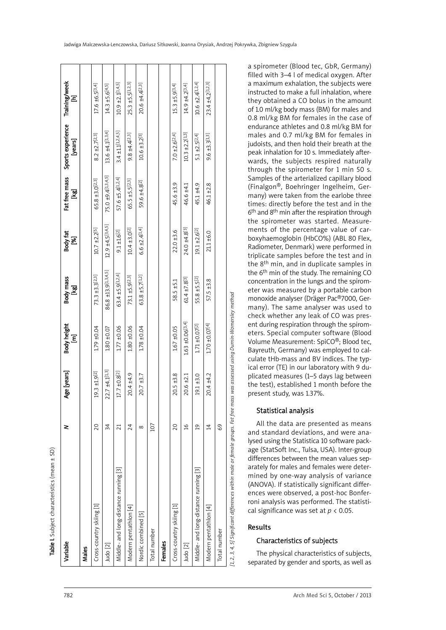| Middle- and long-distance running [3]<br>Cross-country skiing [1]<br>Judo [2]<br>Males                                                                                                                                                                                                                                                                                                                                                                                                         |                                                                                                                                                       |                                                                                                                                                                   | $\overline{\boldsymbol{\epsilon}}$                                                                                                                                                                                     | <b>Dall</b>                                                                                                                                                                                                                                                                  | Body fat<br>[%]                                                                                                                                                                                                                                                       | <u>ତ</u> ୍ର                                                                                                                                                                                                                                             | [years]                                                                                                                                                                                                                                                             | Ξ                                                                                                                                                                             |
|------------------------------------------------------------------------------------------------------------------------------------------------------------------------------------------------------------------------------------------------------------------------------------------------------------------------------------------------------------------------------------------------------------------------------------------------------------------------------------------------|-------------------------------------------------------------------------------------------------------------------------------------------------------|-------------------------------------------------------------------------------------------------------------------------------------------------------------------|------------------------------------------------------------------------------------------------------------------------------------------------------------------------------------------------------------------------|------------------------------------------------------------------------------------------------------------------------------------------------------------------------------------------------------------------------------------------------------------------------------|-----------------------------------------------------------------------------------------------------------------------------------------------------------------------------------------------------------------------------------------------------------------------|---------------------------------------------------------------------------------------------------------------------------------------------------------------------------------------------------------------------------------------------------------|---------------------------------------------------------------------------------------------------------------------------------------------------------------------------------------------------------------------------------------------------------------------|-------------------------------------------------------------------------------------------------------------------------------------------------------------------------------|
|                                                                                                                                                                                                                                                                                                                                                                                                                                                                                                |                                                                                                                                                       |                                                                                                                                                                   |                                                                                                                                                                                                                        |                                                                                                                                                                                                                                                                              |                                                                                                                                                                                                                                                                       |                                                                                                                                                                                                                                                         |                                                                                                                                                                                                                                                                     |                                                                                                                                                                               |
|                                                                                                                                                                                                                                                                                                                                                                                                                                                                                                | 20                                                                                                                                                    | 19.3 ±1.9 <sup>[2]</sup>                                                                                                                                          | $1.79 \pm 0.04$                                                                                                                                                                                                        | $73.3 \pm 3.3[2,3]$                                                                                                                                                                                                                                                          | $10.7 \pm 2.2^{[5]}$                                                                                                                                                                                                                                                  | 65.8 ±3.0 <sup>[2,3]</sup>                                                                                                                                                                                                                              | $8.2 \pm 2.7$ [2,3]                                                                                                                                                                                                                                                 | $17.6 \pm 6.5$ [3,4]                                                                                                                                                          |
|                                                                                                                                                                                                                                                                                                                                                                                                                                                                                                | $\overline{34}$                                                                                                                                       | $22.7 \pm 4.1$ [1,3]                                                                                                                                              | 1.80 ±0.07                                                                                                                                                                                                             | 86.8 ±13.9[1,3,4,5]                                                                                                                                                                                                                                                          | $12.9 \pm 4.5$ [3,4,5]                                                                                                                                                                                                                                                | $75.0 \pm 9.4$ [1,3,4,5]                                                                                                                                                                                                                                | $13.6 \pm 4.1$ [1,3,4]                                                                                                                                                                                                                                              | $14.3 \pm 5.6[4,5]$                                                                                                                                                           |
|                                                                                                                                                                                                                                                                                                                                                                                                                                                                                                | $\overline{z}$                                                                                                                                        | $\pm 0.8^{[2]}$<br>17.7                                                                                                                                           | ±0.06<br>1.77                                                                                                                                                                                                          | ±5.9[1,2,4]<br>63.4                                                                                                                                                                                                                                                          | $9.1 \pm 1.6$ [2]                                                                                                                                                                                                                                                     | ±5.4[1.2.4]<br>57.6                                                                                                                                                                                                                                     | $3.4 \pm 1.1$ [1,2,4,5]                                                                                                                                                                                                                                             | ±2.1[1,4,5]<br>10.9                                                                                                                                                           |
| Modern pentathlon [4]                                                                                                                                                                                                                                                                                                                                                                                                                                                                          | 24                                                                                                                                                    | $20.4 + 4.9$                                                                                                                                                      | 1.80 ±0.06                                                                                                                                                                                                             | 73.1 ±5.9[2,3]                                                                                                                                                                                                                                                               | $10.4 + 3.0^{[2]}$                                                                                                                                                                                                                                                    | 65.5 ±5.5[2,3]                                                                                                                                                                                                                                          | $9.8 \pm 4.42.3$                                                                                                                                                                                                                                                    | $25.3 + 5.5$ [1,2,3]                                                                                                                                                          |
| Nordic combined [5]                                                                                                                                                                                                                                                                                                                                                                                                                                                                            | ${}^{\infty}$                                                                                                                                         | $20.7 + 3.7$                                                                                                                                                      | $1.78 \pm 0.04$                                                                                                                                                                                                        | ±5.7[1,2]<br>63.8                                                                                                                                                                                                                                                            | $6.6 \pm 2.4$ [1,4]                                                                                                                                                                                                                                                   | 59.6 ±4.8[2]                                                                                                                                                                                                                                            | $10.6 \pm 3.2^{[3]}$                                                                                                                                                                                                                                                | $20.6 \pm 4.4^{[2,3]}$                                                                                                                                                        |
| Total number                                                                                                                                                                                                                                                                                                                                                                                                                                                                                   | 107                                                                                                                                                   |                                                                                                                                                                   |                                                                                                                                                                                                                        |                                                                                                                                                                                                                                                                              |                                                                                                                                                                                                                                                                       |                                                                                                                                                                                                                                                         |                                                                                                                                                                                                                                                                     |                                                                                                                                                                               |
| Females                                                                                                                                                                                                                                                                                                                                                                                                                                                                                        |                                                                                                                                                       |                                                                                                                                                                   |                                                                                                                                                                                                                        |                                                                                                                                                                                                                                                                              |                                                                                                                                                                                                                                                                       |                                                                                                                                                                                                                                                         |                                                                                                                                                                                                                                                                     |                                                                                                                                                                               |
| Cross-country skiing [1]                                                                                                                                                                                                                                                                                                                                                                                                                                                                       | 20                                                                                                                                                    | $20.5 + 3.8$                                                                                                                                                      | $1.67 + 0.05$                                                                                                                                                                                                          | $58.5 + 5.1$                                                                                                                                                                                                                                                                 | $22.0 + 3.6$                                                                                                                                                                                                                                                          | $45.6 \pm 3.9$                                                                                                                                                                                                                                          | $7.0 \pm 2.6$ <sup>[2,4]</sup>                                                                                                                                                                                                                                      | $15.3 \pm 5.9[3,4]$                                                                                                                                                           |
| Judo [2]                                                                                                                                                                                                                                                                                                                                                                                                                                                                                       | $\frac{9}{2}$                                                                                                                                         | $20.6 \pm 2.1$                                                                                                                                                    | ±0.06[3,4]<br>163                                                                                                                                                                                                      | $\pm 7.8^{[3]}$<br>61.4                                                                                                                                                                                                                                                      | 24.0 ±4.8[3]                                                                                                                                                                                                                                                          | 46.6 ±4.1                                                                                                                                                                                                                                               | ±2.2[1,3]<br>10.3                                                                                                                                                                                                                                                   | ±4.2[3,4]<br>14.9                                                                                                                                                             |
| Middle- and long-distance running [3]                                                                                                                                                                                                                                                                                                                                                                                                                                                          | $\overline{0}$                                                                                                                                        | $19.1 + 3.0$                                                                                                                                                      | $1.71 \pm 0.07$ <sup>[2]</sup>                                                                                                                                                                                         | 55.8 ±5.5[2]                                                                                                                                                                                                                                                                 | $[9.1 \pm 2.6]$ <sup>2]</sup>                                                                                                                                                                                                                                         | 45.1 ±4.9                                                                                                                                                                                                                                               | $5.1 + 2.5[2,4]$                                                                                                                                                                                                                                                    | $10.6 \pm 2.4$ [1,2,4]                                                                                                                                                        |
| $\Xi$<br>Modern pentathlon                                                                                                                                                                                                                                                                                                                                                                                                                                                                     | $\overline{4}$                                                                                                                                        | $20.4 + 4.2$                                                                                                                                                      | 1.70 ±0.07[4]                                                                                                                                                                                                          | ±3.8<br>57.5                                                                                                                                                                                                                                                                 | $21.1 \pm 6.0$                                                                                                                                                                                                                                                        | 46.1 ±2.8                                                                                                                                                                                                                                               | ±3.3[1,3]<br>9.6                                                                                                                                                                                                                                                    | $23.4 \pm 4.2$ [1,2,3]                                                                                                                                                        |
| Total number                                                                                                                                                                                                                                                                                                                                                                                                                                                                                   | 69                                                                                                                                                    |                                                                                                                                                                   |                                                                                                                                                                                                                        |                                                                                                                                                                                                                                                                              |                                                                                                                                                                                                                                                                       |                                                                                                                                                                                                                                                         |                                                                                                                                                                                                                                                                     |                                                                                                                                                                               |
| 4, 5] Significant differences within male or female groups. Fat<br>Results<br>2, 3,<br>E,                                                                                                                                                                                                                                                                                                                                                                                                      |                                                                                                                                                       |                                                                                                                                                                   | free mass was assessed using Durnin-Womersley method                                                                                                                                                                   |                                                                                                                                                                                                                                                                              |                                                                                                                                                                                                                                                                       |                                                                                                                                                                                                                                                         |                                                                                                                                                                                                                                                                     | a maximum exhalation, the subjects were                                                                                                                                       |
| age (StatSoft Inc., Tulsa, USA). Inter-group<br>differences between the mean values sep-<br>arately for males and females were deter-<br>mined by one-way analysis of variance<br>(ANOVA). If statistically significant differ-<br>ences were observed, a post-hoc Bonfer-<br>roni analysis was performed. The statisti-<br>cal significance was set at $p < 0.05$ .<br>Characteristics of subjects<br>The physical characteristics of subjects,<br>separated by gender and sports, as well as | Statistical analysis<br>All the data are presented as means<br>and standard deviations, and were ana-<br>lysed using the Statistica 10 software pack- | ical error (TE) in our laboratory with 9 du-<br>plicated measures (1-5 days lag between<br>the test), established 1 month before the<br>present study, was 1.37%. | ent during respiration through the spirom-<br>eters. Special computer software (Blood<br>Volume Measurement: SpiCO®; Blood tec,<br>Bayreuth, Germany) was employed to cal-<br>culate tHb-mass and BV indices. The typ- | the 6 <sup>th</sup> min of the study. The remaining CO<br>concentration in the lungs and the spirom-<br>eter was measured by a portable carbon<br>monoxide analyser (Dräger Pac®7000, Ger-<br>many). The same analyser was used to<br>check whether any leak of CO was pres- | the spirometer was started. Measure-<br>ments of the percentage value of car-<br>boxyhaemoglobin (HbCO%) (ABL 80 Flex,<br>Radiometer, Denmark) were performed in<br>triplicate samples before the test and in<br>the 8 <sup>th</sup> min, and in duplicate samples in | Samples of the arterialized capillary blood<br>(Finalgon®, Boehringer Ingelheim, Ger-<br>many) were taken from the earlobe three<br>times: directly before the test and in the<br>6 <sup>th</sup> and 8 <sup>th</sup> min after the respiration through | endurance athletes and 0.8 ml/kg BM for<br>males and 0.7 ml/kg BM for females in<br>judoists, and then hold their breath at the<br>peak inhalation for 10 s. Immediately after-<br>wards, the subjects respired naturally<br>through the spirometer for 1 min 50 s. | instructed to make a full inhalation, where<br>they obtained a CO bolus in the amount<br>of 1.0 ml/kg body mass (BM) for males and<br>0.8 ml/kg BM for females in the case of |

Table I. Subject characteristics (mean ± SD)

**Table I.** Subject characteristics (mean ± SD)

Training/week<br>[h]

| i                                 |
|-----------------------------------|
|                                   |
| í                                 |
|                                   |
|                                   |
|                                   |
| š                                 |
|                                   |
|                                   |
|                                   |
| ֡֡֡֡֡֡                            |
|                                   |
| l                                 |
|                                   |
|                                   |
| ï<br>i                            |
| $\overline{\phantom{a}}$          |
| I<br>l<br>١                       |
| i<br>į                            |
| ì                                 |
| i                                 |
|                                   |
|                                   |
|                                   |
| ì<br>i                            |
|                                   |
|                                   |
|                                   |
|                                   |
|                                   |
|                                   |
| I                                 |
|                                   |
| ¢<br>١                            |
|                                   |
|                                   |
| $\overline{a}$<br>֡֡֡֡֡֡          |
|                                   |
| ׇ֚֬֓֡<br>$\overline{\phantom{a}}$ |
| 1                                 |
| ١                                 |
| í                                 |
|                                   |
|                                   |
|                                   |
| Ī                                 |
| $\tilde{a}$                       |
|                                   |
| <b>.</b>                          |
|                                   |
|                                   |
|                                   |
|                                   |
|                                   |
|                                   |
|                                   |
| ī                                 |
| ֘֝֬֝֬<br>i                        |
|                                   |
| í<br>ì                            |
|                                   |
|                                   |
| į                                 |
| ֘֝֬                               |
|                                   |
|                                   |
| ١                                 |
| Ï                                 |
|                                   |
| Ĺ                                 |
| J                                 |
|                                   |
| ¢<br>١                            |
|                                   |
| ¢<br>I                            |
| i<br>I                            |
|                                   |

filled with 3–4 l of medical oxygen. After a maximum exhalation, the subjects were instructed to make a full inhalation, where they obtained a CO bolus in the amount of 1.0 ml/kg body mass (BM) for males and 0.8 ml/kg BM for females in the case of endurance athletes and 0.8 ml/kg BM for males and 0.7 ml/kg BM for females in judoists, and then hold their breath at the peak inhalation for 10 s. Immediately afterwards, the subjects respired naturally through the spirometer for 1 min 50 s. Samples of the arterialized capillary blood (Finalgon®, Boehringer Ingelheim, Germany) were taken from the earlobe three times: directly before the test and in the 6<sup>th</sup> and 8<sup>th</sup> min after the respiration through the spirometer was started. Measurements of the percentage value of carboxyhaemoglobin (HbCO%) (ABL 80 Flex, Radiometer, Denmark) were performed in triplicate samples before the test and in the 8<sup>th</sup> min, and in duplicate samples in the  $6<sup>th</sup>$  min of the study. The remaining CO concentration in the lungs and the spirometer was measured by a portable carbon monoxide analyser (Dräger Pac®7000, Germany). The same analyser was used to check whether any leak of CO was present during respiration through the spirometers. Special computer software (Blood Volume Measurement: SpiCO®; Blood tec, Bayreuth, Germany) was employed to calculate tHb-mass and BV indices. The typical error (TE) in our laboratory with 9 duplicated measures (1–5 days lag between the test), established 1 month before the present study, was 1.37%.

a spirometer (Blood tec, GbR, Germany)

# Statistical analysis

# Results

# Characteristics of subjects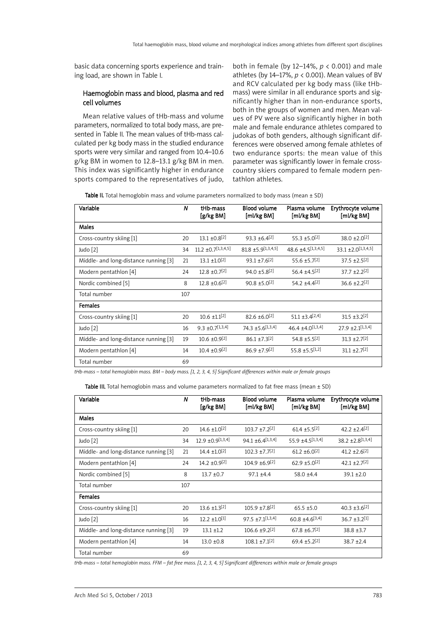basic data concerning sports experience and training load, are shown in Table I.

# Haemoglobin mass and blood, plasma and red cell volumes

Mean relative values of tHb-mass and volume parameters, normalized to total body mass, are presented in Table II. The mean values of tHb-mass calculated per kg body mass in the studied endurance sports were very similar and ranged from 10.4–10.6 g/kg BM in women to 12.8–13.1 g/kg BM in men. This index was significantly higher in endurance sports compared to the representatives of judo, both in female (by 12–14%, *p* < 0.001) and male athletes (by 14–17%, *p* < 0.001). Mean values of BV and RCV calculated per kg body mass (like tHbmass) were similar in all endurance sports and significantly higher than in non-endurance sports, both in the groups of women and men. Mean values of PV were also significantly higher in both male and female endurance athletes compared to judokas of both genders, although significant differences were observed among female athletes of two endurance sports: the mean value of this parameter was significantly lower in female crosscountry skiers compared to female modern pentathlon athletes.

Table II. Total hemoglobin mass and volume parameters normalized to body mass (mean ± SD)

| Variable                              | N   | tHb-mass<br>[g/kg BM]         | <b>Blood volume</b><br>[ml/kg BM] | Plasma volume<br>[ml/kg BM] | Erythrocyte volume<br>[ml/kg BM] |
|---------------------------------------|-----|-------------------------------|-----------------------------------|-----------------------------|----------------------------------|
| Males                                 |     |                               |                                   |                             |                                  |
| Cross-country skiing [1]              | 20  | $13.1 \pm 0.8$ [2]            | $93.3 + 6.4^{2}$                  | $55.3 + 5.0^{2}$            | $38.0 + 2.0^{2}$                 |
| Judo $[2]$                            | 34  | $11.2 + 0.7[1,3,4,5]$         | $81.8 + 5.9[1,3,4,5]$             | $48.6 + 4.5[1,3,4,5]$       | $33.1 + 2.0[1,3,4,5]$            |
| Middle- and long-distance running [3] | 21  | $13.1 \pm 1.0^{2}$            | $93.1 \pm 7.6$ <sup>[2]</sup>     | $55.6 + 5.7[2]$             | $37.5 + 2.5^{2}$                 |
| Modern pentathlon [4]                 | 24  | $12.8 \pm 0.7$ <sup>[2]</sup> | $94.0 \pm 5.8$ <sup>[2]</sup>     | $56.4 + 4.5[2]$             | $37.7 + 2.2^{2}$                 |
| Nordic combined [5]                   | 8   | $12.8 \pm 0.6$ [2]            | $90.8 \pm 5.0^{2}$                | $54.2 + 4.4$ <sup>[2]</sup> | $36.6 \pm 2.2$ <sup>[2]</sup>    |
| Total number                          | 107 |                               |                                   |                             |                                  |
| Females                               |     |                               |                                   |                             |                                  |
| Cross-country skiing [1]              | 20  | $10.6 \pm 1.1$ [2]            | $82.6 \pm 6.0$ [2]                | $51.1 + 3.4[2,4]$           | $31.5 + 3.2^{2}$                 |
| Judo [2]                              | 16  | $9.3 + 0.7[1,3,4]$            | 74.3 $\pm$ 5.6 <sup>[1,3,4]</sup> | $46.4 \pm 4.0[1,3,4]$       | $27.9 \pm 2.1$ [1,3,4]           |
| Middle- and long-distance running [3] | 19  | $10.6 \pm 0.9$ [2]            | $86.1 + 7.3[2]$                   | $54.8 + 5.5^{2}$            | $31.3 + 2.7[2]$                  |
| Modern pentathlon [4]                 | 14  | $10.4 \pm 0.9$ [2]            | $86.9 \pm 7.9$ <sup>[2]</sup>     | $55.8 \pm 5.5[1,2]$         | $31.1 \pm 2.7^{2}$               |
| Total number                          | 69  |                               |                                   |                             |                                  |

tHb-mass - total hemoglobin mass. BM - body mass. [1, 2, 3, 4, 5] Significant differences within male or female groups

Table III. Total hemoglobin mass and volume parameters normalized to fat free mass (mean  $\pm$  SD)

| Variable                              | N   | tHb-mass<br>[g/kg BM] | <b>Blood volume</b><br>[ml/kg BM] | Plasma volume<br>[ml/kg BM]   | Erythrocyte volume<br>[ml/kg BM] |
|---------------------------------------|-----|-----------------------|-----------------------------------|-------------------------------|----------------------------------|
| Males                                 |     |                       |                                   |                               |                                  |
| Cross-country skiing [1]              | 20  | $14.6 \pm 1.0^{2}$    | $103.7 + 7.2^{2}$                 | $61.4 \pm 5.5$ <sup>[2]</sup> | $42.2 + 2.4^{2}$                 |
| Judo [2]                              | 34  | $12.9 + 0.9[1,3,4]$   | $94.1 \pm 6.4$ [1,3,4]            | $55.9 \pm 4.5[1,3,4]$         | $38.2 + 2.8[1,3,4]$              |
| Middle- and long-distance running [3] | 21  | $14.4 \pm 1.0^{2}$    | $102.3 \pm 7.7^{2}$               | $61.2 \pm 6.0^{2}$            | $41.2 \pm 2.6$ <sup>[2]</sup>    |
| Modern pentathlon [4]                 | 24  | $14.2 \pm 0.9$ [2]    | $104.9 \pm 6.9$ [2]               | $62.9 + 5.0^{2}$              | $42.1 \pm 2.7^{2}$               |
| Nordic combined [5]                   | 8   | $13.7 \pm 0.7$        | $97.1 \pm 4.4$                    | $58.0 \pm 4.4$                | $39.1 \pm 2.0$                   |
| Total number                          | 107 |                       |                                   |                               |                                  |
| <b>Females</b>                        |     |                       |                                   |                               |                                  |
| Cross-country skiing [1]              | 20  | $13.6 \pm 1.3$ [2]    | $105.9 \pm 7.8$ [2]               | $65.5 \pm 5.0$                | $40.3 \pm 3.6$ <sup>[2]</sup>    |
| Judo $[2]$                            | 16  | $12.2 \pm 1.0^{[1]}$  | $97.5 \pm 7.1$ [1,3,4]            | $60.8 \pm 4.6[3,4]$           | $36.7 + 3.2^{[1]}$               |
| Middle- and long-distance running [3] | 19  | $13.1 \pm 1.2$        | $106.6 \pm 9.2$ <sup>[2]</sup>    | $67.8 \pm 6.7$ <sup>[2]</sup> | $38.8 \pm 3.7$                   |
| Modern pentathlon [4]                 | 14  | $13.0 \pm 0.8$        | $108.1 \pm 7.1$ <sup>[2]</sup>    | $69.4 \pm 5.2^{2}$            | $38.7 + 2.4$                     |
| Total number                          | 69  |                       |                                   |                               |                                  |

tHb-mass - total hemoglobin mass. FFM - fat free mass. [1, 2, 3, 4, 5] Significant differences within male or female groups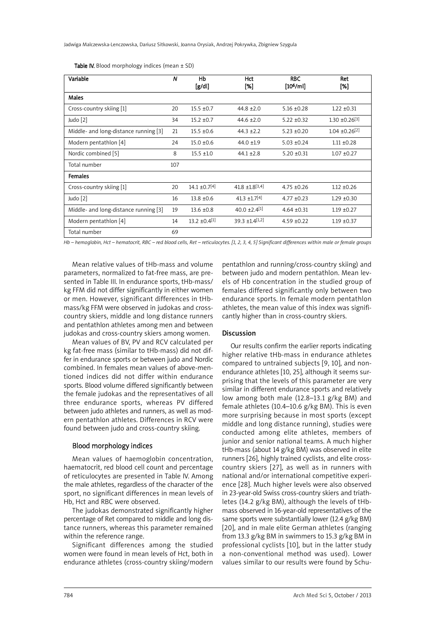Jadwiga Malczewska-Lenczowska, Dariusz Sitkowski, Joanna Orysiak, Andrzej Pokrywka, Zbigniew Szygula

| Variable                              | N   | Hb<br>[g/dl]                  | Hct<br>[%]                      | <b>RBC</b><br>[10 <sup>6</sup> /ml] | Ret<br>[%]                     |
|---------------------------------------|-----|-------------------------------|---------------------------------|-------------------------------------|--------------------------------|
| Males                                 |     |                               |                                 |                                     |                                |
| Cross-country skiing [1]              | 20  | $15.5 \pm 0.7$                | $44.8 + 2.0$                    | $5.16 + 0.28$                       | $1.22 + 0.31$                  |
| Judo $[2]$                            | 34  | $15.2 \pm 0.7$                | $44.6 \pm 2.0$                  | $5.22 + 0.32$                       | $1.30 \pm 0.26[3]$             |
| Middle- and long-distance running [3] | 21  | $15.5 \pm 0.6$                | $44.3 \pm 2.2$                  | $5.23 \pm 0.20$                     | $1.04 \pm 0.26$ <sup>[2]</sup> |
| Modern pentathlon [4]                 | 24  | $15.0 \pm 0.6$                | $44.0 \pm 1.9$                  | $5.03 \pm 0.24$                     | $1.11 \pm 0.28$                |
| Nordic combined [5]                   | 8   | $15.5 \pm 1.0$                | $44.1 \pm 2.8$                  | $5.20 \pm 0.31$                     | $1.07 + 0.27$                  |
| Total number                          | 107 |                               |                                 |                                     |                                |
| <b>Females</b>                        |     |                               |                                 |                                     |                                |
| Cross-country skiing [1]              | 20  | $14.1 \pm 0.7^{[4]}$          | 41.8 $\pm$ 1.8 <sup>[3,4]</sup> | $4.75 + 0.26$                       | $1.12 \pm 0.26$                |
| Judo [2]                              | 16  | $13.8 \pm 0.6$                | $41.3 \pm 1.7^{[4]}$            | $4.77 \pm 0.23$                     | $1.29 \pm 0.30$                |
| Middle- and long-distance running [3] | 19  | $13.6 \pm 0.8$                | $40.0 + 2.4[1]$                 | $4.64 \pm 0.31$                     | $1.19 \pm 0.27$                |
| Modern pentathlon [4]                 | 14  | $13.2 \pm 0.4$ <sup>[1]</sup> | $39.3 + 1.4[1,2]$               | $4.59 \pm 0.22$                     | $1.19 \pm 0.37$                |
| Total number                          | 69  |                               |                                 |                                     |                                |

Table IV. Blood morphology indices (mean  $\pm$  SD)

Hb - hemoglobin, Hct - hematocrit, RBC - red blood cells, Ret - reticulocytes. [1, 2, 3, 4, 5] Significant differences within male or female groups

Mean relative values of tHb-mass and volume parameters, normalized to fat-free mass, are presented in Table III. In endurance sports, tHb-mass/ kg FFM did not differ significantly in either women or men. However, significant differences in tHbmass/kg FFM were observed in judokas and crosscountry skiers, middle and long distance runners and pentathlon athletes among men and between judokas and cross-country skiers among women.

Mean values of BV, PV and RCV calculated per kg fat-free mass (similar to tHb-mass) did not differ in endurance sports or between judo and Nordic combined. In females mean values of above-mentioned indices did not differ within endurance sports. Blood volume differed significantly between the female judokas and the representatives of all three endurance sports, whereas PV differed between judo athletes and runners, as well as modern pentathlon athletes. Differences in RCV were found between judo and cross-country skiing.

# Blood morphology indices

Mean values of haemoglobin concentration, haematocrit, red blood cell count and percentage of reticulocytes are presented in Table IV. Among the male athletes, regardless of the character of the sport, no significant differences in mean levels of Hb, Hct and RBC were observed.

The judokas demonstrated significantly higher percentage of Ret compared to middle and long distance runners, whereas this parameter remained within the reference range.

Significant differences among the studied women were found in mean levels of Hct, both in endurance athletes (cross-country skiing/modern

pentathlon and running/cross-country skiing) and between judo and modern pentathlon. Mean levels of Hb concentration in the studied group of females differed significantly only between two endurance sports. In female modern pentathlon athletes, the mean value of this index was significantly higher than in cross-country skiers.

# Discussion

Our results confirm the earlier reports indicating higher relative tHb-mass in endurance athletes compared to untrained subjects [9, 10], and nonendurance athletes [10, 25], although it seems surprising that the levels of this parameter are very similar in different endurance sports and relatively low among both male (12.8–13.1 g/kg BM) and female athletes (10.4–10.6 g/kg BM). This is even more surprising because in most sports (except middle and long distance running), studies were conducted among elite athletes, members of junior and senior national teams. A much higher tHb-mass (about 14 g/kg BM) was observed in elite runners [26], highly trained cyclists, and elite crosscountry skiers [27], as well as in runners with national and/or international competitive experience [28]. Much higher levels were also observed in 23-year-old Swiss cross-country skiers and triathletes (14.2 g/kg BM), although the levels of tHbmass observed in 16-year-old representatives of the same sports were substantially lower (12.4 g/kg BM) [20], and in male elite German athletes (ranging from 13.3 g/kg BM in swimmers to 15.3 g/kg BM in professional cyclists [10], but in the latter study a non-conventional method was used). Lower values similar to our results were found by Schu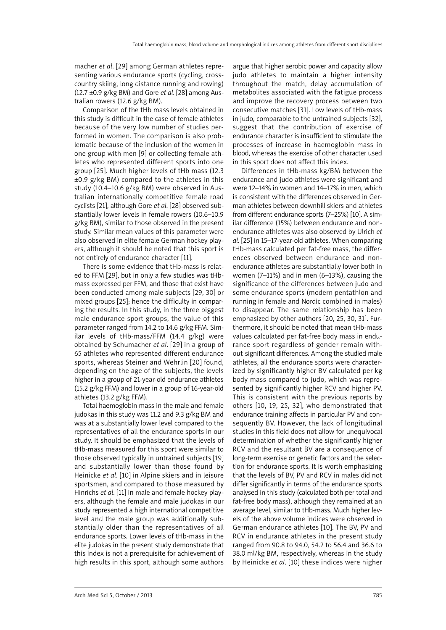macher *et al*. [29] among German athletes representing various endurance sports (cycling, crosscountry skiing, long distance running and rowing) (12.7 ±0.9 g/kg BM) and Gore *et al*. [28] among Australian rowers (12.6 g/kg BM).

Comparison of the tHb mass levels obtained in this study is difficult in the case of female athletes because of the very low number of studies performed in women. The comparison is also problematic because of the inclusion of the women in one group with men [9] or collecting female athletes who represented different sports into one group [25]. Much higher levels of tHb mass (12.3 ±0.9 g/kg BM) compared to the athletes in this study (10.4–10.6 g/kg BM) were observed in Australian internationally competitive female road cyclists [21], although Gore *et al*. [28] observed substantially lower levels in female rowers (10.6–10.9 g/kg BM), similar to those observed in the present study. Similar mean values of this parameter were also observed in elite female German hockey players, although it should be noted that this sport is not entirely of endurance character [11].

There is some evidence that tHb-mass is related to FFM [29], but in only a few studies was tHbmass expressed per FFM, and those that exist have been conducted among male subjects [29, 30] or mixed groups [25]; hence the difficulty in comparing the results. In this study, in the three biggest male endurance sport groups, the value of this parameter ranged from 14.2 to 14.6 g/kg FFM. Similar levels of tHb-mass/FFM (14.4 g/kg) were obtained by Schumacher *et al*. [29] in a group of 65 athletes who represented different endurance sports, whereas Steiner and Wehrlin [20] found, depending on the age of the subjects, the levels higher in a group of 21-year-old endurance athletes (15.2 g/kg FFM) and lower in a group of 16-year-old athletes (13.2 g/kg FFM).

Total haemoglobin mass in the male and female judokas in this study was 11.2 and 9.3 g/kg BM and was at a substantially lower level compared to the representatives of all the endurance sports in our study. It should be emphasized that the levels of tHb-mass measured for this sport were similar to those observed typically in untrained subjects [19] and substantially lower than those found by Heinicke *et al*. [10] in Alpine skiers and in leisure sportsmen, and compared to those measured by Hinrichs *et al*. [11] in male and female hockey players, although the female and male judokas in our study represented a high international competitive level and the male group was additionally substantially older than the representatives of all endurance sports. Lower levels of tHb-mass in the elite judokas in the present study demonstrate that this index is not a prerequisite for achievement of high results in this sport, although some authors

argue that higher aerobic power and capacity allow judo athletes to maintain a higher intensity throughout the match, delay accumulation of metabolites associated with the fatigue process and improve the recovery process between two consecutive matches [31]. Low levels of tHb-mass in judo, comparable to the untrained subjects [32], suggest that the contribution of exercise of endurance character is insufficient to stimulate the processes of increase in haemoglobin mass in blood, whereas the exercise of other character used in this sport does not affect this index.

Differences in tHb-mass kg/BM between the endurance and judo athletes were significant and were 12–14% in women and 14–17% in men, which is consistent with the differences observed in German athletes between downhill skiers and athletes from different endurance sports (7–25%) [10]. A similar difference (15%) between endurance and nonendurance athletes was also observed by Ulrich *et al*. [25] in 15–17-year-old athletes. When comparing tHb-mass calculated per fat-free mass, the differences observed between endurance and nonendurance athletes are substantially lower both in women (7–11%) and in men (6–13%), causing the significance of the differences between judo and some endurance sports (modern pentathlon and running in female and Nordic combined in males) to disappear. The same relationship has been emphasized by other authors [20, 25, 30, 31]. Furthermore, it should be noted that mean tHb-mass values calculated per fat-free body mass in endurance sport regardless of gender remain without significant differences. Among the studied male athletes, all the endurance sports were characterized by significantly higher BV calculated per kg body mass compared to judo, which was represented by significantly higher RCV and higher PV. This is consistent with the previous reports by others [10, 19, 25, 32], who demonstrated that endurance training affects in particular PV and consequently BV. However, the lack of longitudinal studies in this field does not allow for unequivocal determination of whether the significantly higher RCV and the resultant BV are a consequence of long-term exercise or genetic factors and the selection for endurance sports. It is worth emphasizing that the levels of BV, PV and RCV in males did not differ significantly in terms of the endurance sports analysed in this study (calculated both per total and fat-free body mass), although they remained at an average level, similar to tHb-mass. Much higher levels of the above volume indices were observed in German endurance athletes [10]. The BV, PV and RCV in endurance athletes in the present study ranged from 90.8 to 94.0, 54.2 to 56.4 and 36.6 to 38.0 ml/kg BM, respectively, whereas in the study by Heinicke *et al*. [10] these indices were higher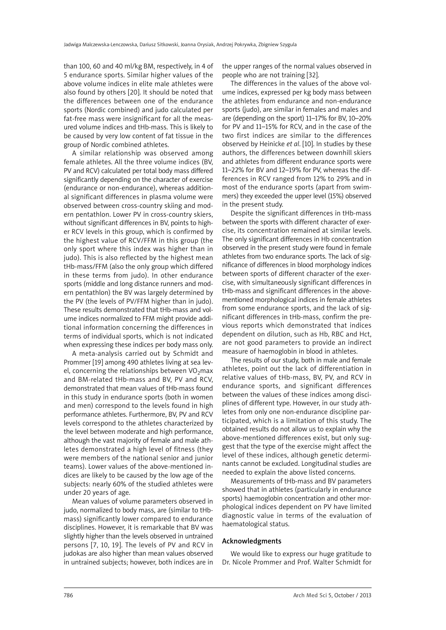than 100, 60 and 40 ml/kg BM, respectively, in 4 of 5 endurance sports. Similar higher values of the above volume indices in elite male athletes were also found by others [20]. It should be noted that the differences between one of the endurance sports (Nordic combined) and judo calculated per fat-free mass were insignificant for all the measured volume indices and tHb-mass. This is likely to be caused by very low content of fat tissue in the group of Nordic combined athletes.

A similar relationship was observed among female athletes. All the three volume indices (BV, PV and RCV) calculated per total body mass differed significantly depending on the character of exercise (endurance or non-endurance), whereas additional significant differences in plasma volume were observed between cross-country skiing and modern pentathlon. Lower PV in cross-country skiers, without significant differences in BV, points to higher RCV levels in this group, which is confirmed by the highest value of RCV/FFM in this group (the only sport where this index was higher than in judo). This is also reflected by the highest mean tHb-mass/FFM (also the only group which differed in these terms from judo). In other endurance sports (middle and long distance runners and modern pentathlon) the BV was largely determined by the PV (the levels of PV/FFM higher than in judo). These results demonstrated that tHb-mass and volume indices normalized to FFM might provide additional information concerning the differences in terms of individual sports, which is not indicated when expressing these indices per body mass only.

A meta-analysis carried out by Schmidt and Prommer [19] among 490 athletes living at sea level, concerning the relationships between  $VO<sub>2</sub>$ max and BM-related tHb-mass and BV, PV and RCV, demonstrated that mean values of tHb-mass found in this study in endurance sports (both in women and men) correspond to the levels found in high performance athletes. Furthermore, BV, PV and RCV levels correspond to the athletes characterized by the level between moderate and high performance, although the vast majority of female and male athletes demonstrated a high level of fitness (they were members of the national senior and junior teams). Lower values of the above-mentioned indices are likely to be caused by the low age of the subjects: nearly 60% of the studied athletes were under 20 years of age.

Mean values of volume parameters observed in judo, normalized to body mass, are (similar to tHbmass) significantly lower compared to endurance disciplines. However, it is remarkable that BV was slightly higher than the levels observed in untrained persons [7, 10, 19]. The levels of PV and RCV in judokas are also higher than mean values observed in untrained subjects; however, both indices are in the upper ranges of the normal values observed in people who are not training [32].

The differences in the values of the above volume indices, expressed per kg body mass between the athletes from endurance and non-endurance sports (judo), are similar in females and males and are (depending on the sport) 11–17% for BV, 10–20% for PV and 11–15% for RCV, and in the case of the two first indices are similar to the differences observed by Heinicke *et al*. [10]. In studies by these authors, the differences between downhill skiers and athletes from different endurance sports were 11–22% for BV and 12–19% for PV, whereas the differences in RCV ranged from 12% to 29% and in most of the endurance sports (apart from swimmers) they exceeded the upper level (15%) observed in the present study.

Despite the significant differences in tHb-mass between the sports with different character of exercise, its concentration remained at similar levels. The only significant differences in Hb concentration observed in the present study were found in female athletes from two endurance sports. The lack of significance of differences in blood morphology indices between sports of different character of the exercise, with simultaneously significant differences in tHb-mass and significant differences in the abovementioned morphological indices in female athletes from some endurance sports, and the lack of significant differences in tHb-mass, confirm the previous reports which demonstrated that indices dependent on dilution, such as Hb, RBC and Hct, are not good parameters to provide an indirect measure of haemoglobin in blood in athletes.

The results of our study, both in male and female athletes, point out the lack of differentiation in relative values of tHb-mass, BV, PV, and RCV in endurance sports, and significant differences between the values of these indices among disciplines of different type. However, in our study athletes from only one non-endurance discipline participated, which is a limitation of this study. The obtained results do not allow us to explain why the above-mentioned differences exist, but only suggest that the type of the exercise might affect the level of these indices, although genetic determinants cannot be excluded. Longitudinal studies are needed to explain the above listed concerns.

Measurements of tHb-mass and BV parameters showed that in athletes (particularly in endurance sports) haemoglobin concentration and other morphological indices dependent on PV have limited diagnostic value in terms of the evaluation of haematological status.

#### Acknowledgments

We would like to express our huge gratitude to Dr. Nicole Prommer and Prof. Walter Schmidt for